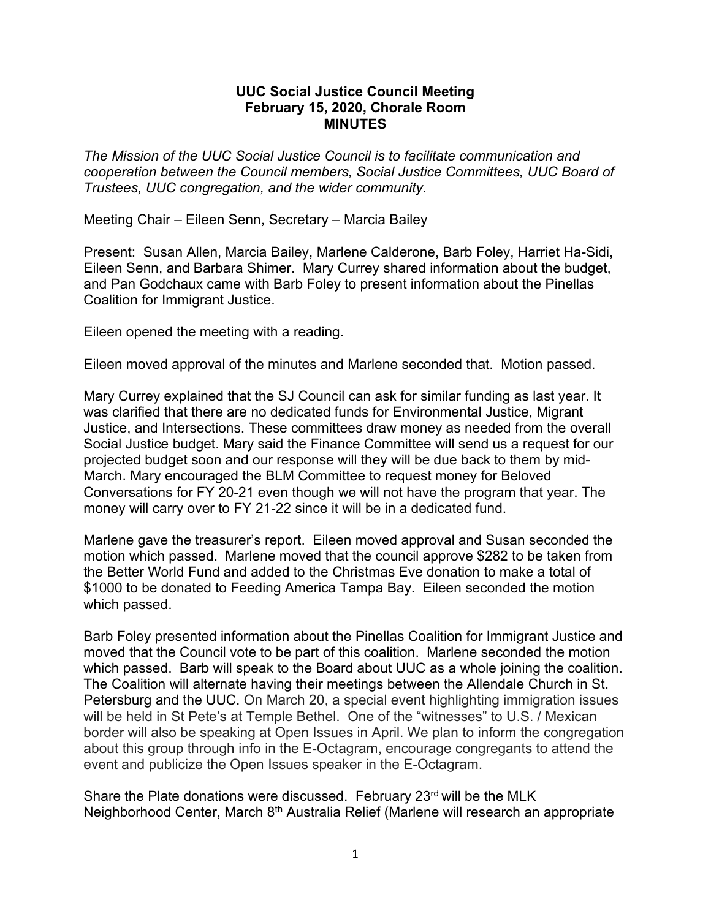## **UUC Social Justice Council Meeting February 15, 2020, Chorale Room MINUTES**

*The Mission of the UUC Social Justice Council is to facilitate communication and cooperation between the Council members, Social Justice Committees, UUC Board of Trustees, UUC congregation, and the wider community.*

Meeting Chair – Eileen Senn, Secretary – Marcia Bailey

Present: Susan Allen, Marcia Bailey, Marlene Calderone, Barb Foley, Harriet Ha-Sidi, Eileen Senn, and Barbara Shimer. Mary Currey shared information about the budget, and Pan Godchaux came with Barb Foley to present information about the Pinellas Coalition for Immigrant Justice.

Eileen opened the meeting with a reading.

Eileen moved approval of the minutes and Marlene seconded that. Motion passed.

Mary Currey explained that the SJ Council can ask for similar funding as last year. It was clarified that there are no dedicated funds for Environmental Justice, Migrant Justice, and Intersections. These committees draw money as needed from the overall Social Justice budget. Mary said the Finance Committee will send us a request for our projected budget soon and our response will they will be due back to them by mid-March. Mary encouraged the BLM Committee to request money for Beloved Conversations for FY 20-21 even though we will not have the program that year. The money will carry over to FY 21-22 since it will be in a dedicated fund.

Marlene gave the treasurer's report. Eileen moved approval and Susan seconded the motion which passed. Marlene moved that the council approve \$282 to be taken from the Better World Fund and added to the Christmas Eve donation to make a total of \$1000 to be donated to Feeding America Tampa Bay. Eileen seconded the motion which passed.

Barb Foley presented information about the Pinellas Coalition for Immigrant Justice and moved that the Council vote to be part of this coalition. Marlene seconded the motion which passed. Barb will speak to the Board about UUC as a whole joining the coalition. The Coalition will alternate having their meetings between the Allendale Church in St. Petersburg and the UUC. On March 20, a special event highlighting immigration issues will be held in St Pete's at Temple Bethel. One of the "witnesses" to U.S. / Mexican border will also be speaking at Open Issues in April. We plan to inform the congregation about this group through info in the E-Octagram, encourage congregants to attend the event and publicize the Open Issues speaker in the E-Octagram.

Share the Plate donations were discussed. February 23rd will be the MLK Neighborhood Center, March 8<sup>th</sup> Australia Relief (Marlene will research an appropriate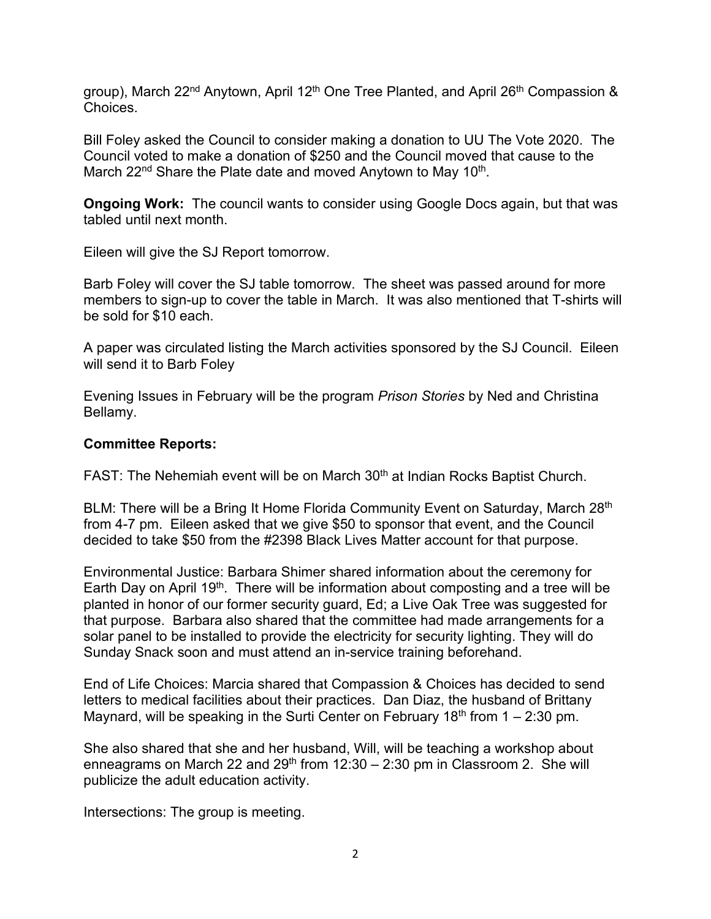group), March 22<sup>nd</sup> Anytown, April 12<sup>th</sup> One Tree Planted, and April 26<sup>th</sup> Compassion & **Choices** 

Bill Foley asked the Council to consider making a donation to UU The Vote 2020. The Council voted to make a donation of \$250 and the Council moved that cause to the March 22<sup>nd</sup> Share the Plate date and moved Anytown to May 10<sup>th</sup>.

**Ongoing Work:** The council wants to consider using Google Docs again, but that was tabled until next month.

Eileen will give the SJ Report tomorrow.

Barb Foley will cover the SJ table tomorrow. The sheet was passed around for more members to sign-up to cover the table in March. It was also mentioned that T-shirts will be sold for \$10 each.

A paper was circulated listing the March activities sponsored by the SJ Council. Eileen will send it to Barb Foley

Evening Issues in February will be the program *Prison Stories* by Ned and Christina Bellamy.

## **Committee Reports:**

FAST: The Nehemiah event will be on March 30<sup>th</sup> at Indian Rocks Baptist Church.

BLM: There will be a Bring It Home Florida Community Event on Saturday, March 28<sup>th</sup> from 4-7 pm. Eileen asked that we give \$50 to sponsor that event, and the Council decided to take \$50 from the #2398 Black Lives Matter account for that purpose.

Environmental Justice: Barbara Shimer shared information about the ceremony for Earth Day on April 19<sup>th</sup>. There will be information about composting and a tree will be planted in honor of our former security guard, Ed; a Live Oak Tree was suggested for that purpose. Barbara also shared that the committee had made arrangements for a solar panel to be installed to provide the electricity for security lighting. They will do Sunday Snack soon and must attend an in-service training beforehand.

End of Life Choices: Marcia shared that Compassion & Choices has decided to send letters to medical facilities about their practices. Dan Diaz, the husband of Brittany Maynard, will be speaking in the Surti Center on February 18<sup>th</sup> from  $1 - 2:30$  pm.

She also shared that she and her husband, Will, will be teaching a workshop about enneagrams on March 22 and  $29<sup>th</sup>$  from 12:30 – 2:30 pm in Classroom 2. She will publicize the adult education activity.

Intersections: The group is meeting.